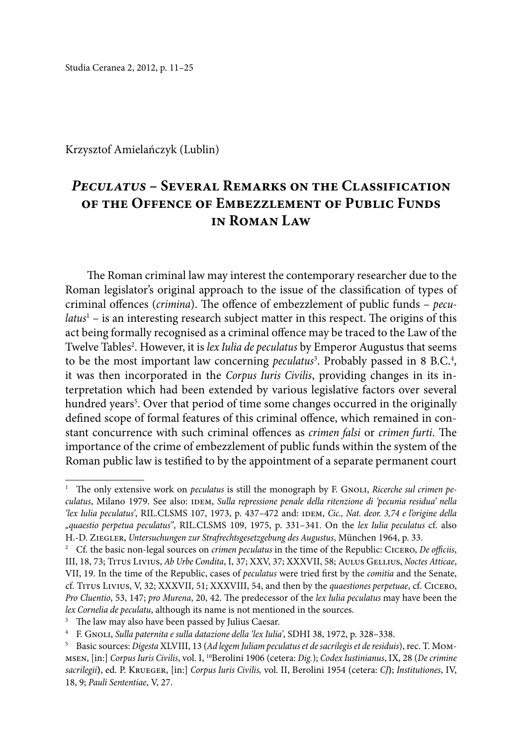Studia Ceranea 2, 2012, p. 11–25

Krzysztof Amielańczyk (Lublin)

# *Peculatus* **– Several Remarks on the Classification of the Offence of Embezzlement of Public Funds in Roman Law**

The Roman criminal law may interest the contemporary researcher due to the Roman legislator's original approach to the issue of the classification of types of criminal offences (*crimina*). The offence of embezzlement of public funds – *peculatus*<sup>1</sup> – is an interesting research subject matter in this respect. The origins of this act being formally recognised as a criminal offence may be traced to the Law of the Twelve Tables<sup>2</sup>. However, it is *lex Iulia de peculatus* by Emperor Augustus that seems to be the most important law concerning *peculatus*<sup>3</sup>. Probably passed in 8 B.C.<sup>4</sup>, it was then incorporated in the *Corpus Iuris Civilis*, providing changes in its interpretation which had been extended by various legislative factors over several hundred years<sup>5</sup>. Over that period of time some changes occurred in the originally defined scope of formal features of this criminal offence, which remained in constant concurrence with such criminal offences as *crimen falsi* or *crimen furti*. The importance of the crime of embezzlement of public funds within the system of the Roman public law is testified to by the appointment of a separate permanent court

<sup>&</sup>lt;sup>1</sup> The only extensive work on *peculatus* is still the monograph by F. GNOLI, *Ricerche sul crimen pe*culatus, Milano 1979. See also: IDEM, *Sulla repressione penale della ritenzione di 'pecunia residua' nella 'lex Iulia peculatus'*, RIL.CLSMS 107, 1973, p. 437–472 and: idem, *Cic., Nat. deor. 3,74 e l'origine della "quaestio perpetua peculatus"*, RIL.CLSMS 109, 1975, p. 331–341. On the *lex Iulia peculatus* cf. also H.-D. Ziegler, *Untersuchungen zur Strafrechtsgesetzgebung des Augustus*, München 1964, p. 33.

<sup>2</sup> Cf. the basic non-legal sources on *crimen peculatus* in the time of the Republic: Cicero, *De officiis*, III, 18, 73; Titus Livius, *Ab Urbe Condita*, I, 37; XXV, 37; XXXVII, 58; Aulus Gellius, *Noctes Atticae*, VII, 19. In the time of the Republic, cases of *peculatus* were tried first by the *comitia* and the Senate, cf. Titus Livius, V, 32; XXXVII, 51; XXXVIII, 54, and then by the *quaestiones perpetuae*, cf. Cicero, *Pro Cluentio*, 53, 147; *pro Murena*, 20, 42. The predecessor of the *lex Iulia peculatus* may have been the *lex Cornelia de peculatu*, although its name is not mentioned in the sources.

<sup>&</sup>lt;sup>3</sup> The law may also have been passed by Julius Caesar.

<sup>4</sup> F. Gnoli, *Sulla paternita e sulla datazione della 'lex Iulia'*, SDHI 38, 1972, p. 328–338.

<sup>5</sup> Basic sources: *Digesta* XLVIII, 13 (*Ad legem Juliam peculatus et de sacrilegis et de residuis*), rec. T. Mommsen, [in:] *Corpus Iuris Civilis*, vol. I, 10Berolini 1906 (cetera: *Dig.*); *Codex Iustinianus*, IX, 28 (*De crimine sacrilegii***)**, ed. P. Krueger, [in:] *Corpus Iuris Civilis,* vol. II, Berolini 1954 (cetera: *CJ***)**; *Institutiones*, IV, 18, 9; *Pauli Sententiae*, V, 27.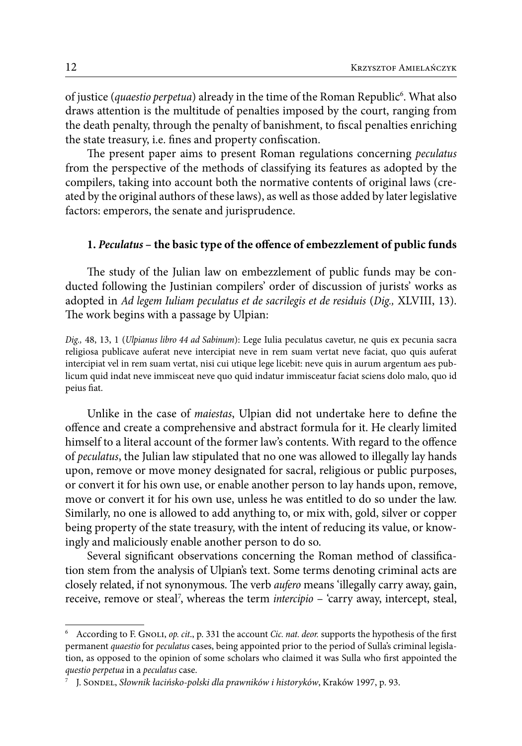of justice (*quaestio perpetua*) already in the time of the Roman Republic<sup>6</sup>. What also draws attention is the multitude of penalties imposed by the court, ranging from the death penalty, through the penalty of banishment, to fiscal penalties enriching the state treasury, i.e. fines and property confiscation.

The present paper aims to present Roman regulations concerning *peculatus* from the perspective of the methods of classifying its features as adopted by the compilers, taking into account both the normative contents of original laws (created by the original authors of these laws), as well as those added by later legislative factors: emperors, the senate and jurisprudence.

#### **1.** *Peculatus* **– the basic type of the offence of embezzlement of public funds**

The study of the Julian law on embezzlement of public funds may be conducted following the Justinian compilers' order of discussion of jurists' works as adopted in *Ad legem Iuliam peculatus et de sacrilegis et de residuis* (*Dig.,* XLVIII, 13). The work begins with a passage by Ulpian:

*Dig.,* 48, 13, 1 (*Ulpianus libro 44 ad Sabinum*): Lege Iulia peculatus cavetur, ne quis ex pecunia sacra religiosa publicave auferat neve intercipiat neve in rem suam vertat neve faciat, quo quis auferat intercipiat vel in rem suam vertat, nisi cui utique lege licebit: neve quis in aurum argentum aes publicum quid indat neve immisceat neve quo quid indatur immisceatur faciat sciens dolo malo, quo id peius fiat.

Unlike in the case of *maiestas*, Ulpian did not undertake here to define the offence and create a comprehensive and abstract formula for it. He clearly limited himself to a literal account of the former law's contents. With regard to the offence of *peculatus*, the Julian law stipulated that no one was allowed to illegally lay hands upon, remove or move money designated for sacral, religious or public purposes, or convert it for his own use, or enable another person to lay hands upon, remove, move or convert it for his own use, unless he was entitled to do so under the law. Similarly, no one is allowed to add anything to, or mix with, gold, silver or copper being property of the state treasury, with the intent of reducing its value, or knowingly and maliciously enable another person to do so.

Several significant observations concerning the Roman method of classification stem from the analysis of Ulpian's text. Some terms denoting criminal acts are closely related, if not synonymous. The verb *aufero* means 'illegally carry away, gain, receive, remove or steal<sup>7</sup>, whereas the term *intercipio* – 'carry away, intercept, steal,

<sup>6</sup> According to F. Gnoli, *op. cit*., p. 331 the account *Cic. nat. deor.* supports the hypothesis of the first permanent *quaestio* for *peculatus* cases, being appointed prior to the period of Sulla's criminal legislation, as opposed to the opinion of some scholars who claimed it was Sulla who first appointed the *questio perpetua* in a *peculatus* case.

<sup>7</sup> J. Sondel, *Słownik łacińsko-polski dla prawników i historyków*, Kraków 1997, p. 93.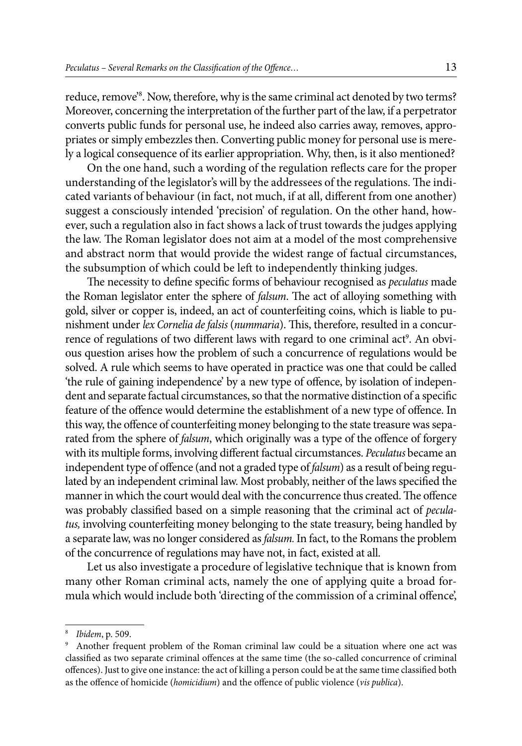reduce, remove'8 . Now, therefore, why is the same criminal act denoted by two terms? Moreover, concerning the interpretation of the further part of the law, if a perpetrator converts public funds for personal use, he indeed also carries away, removes, appropriates or simply embezzles then. Converting public money for personal use is merely a logical consequence of its earlier appropriation. Why, then, is it also mentioned?

On the one hand, such a wording of the regulation reflects care for the proper understanding of the legislator's will by the addressees of the regulations. The indicated variants of behaviour (in fact, not much, if at all, different from one another) suggest a consciously intended 'precision' of regulation. On the other hand, however, such a regulation also in fact shows a lack of trust towards the judges applying the law. The Roman legislator does not aim at a model of the most comprehensive and abstract norm that would provide the widest range of factual circumstances, the subsumption of which could be left to independently thinking judges.

The necessity to define specific forms of behaviour recognised as *peculatus* made the Roman legislator enter the sphere of *falsum*. The act of alloying something with gold, silver or copper is, indeed, an act of counterfeiting coins, which is liable to punishment under *lex Cornelia de falsis* (*nummaria*). This, therefore, resulted in a concurrence of regulations of two different laws with regard to one criminal act<sup>9</sup>. An obvious question arises how the problem of such a concurrence of regulations would be solved. A rule which seems to have operated in practice was one that could be called 'the rule of gaining independence' by a new type of offence, by isolation of independent and separate factual circumstances, so that the normative distinction of a specific feature of the offence would determine the establishment of a new type of offence. In this way, the offence of counterfeiting money belonging to the state treasure was separated from the sphere of *falsum*, which originally was a type of the offence of forgery with its multiple forms, involving different factual circumstances. *Peculatus* became an independent type of offence (and not a graded type of *falsum*) as a result of being regulated by an independent criminal law. Most probably, neither of the laws specified the manner in which the court would deal with the concurrence thus created. The offence was probably classified based on a simple reasoning that the criminal act of *peculatus,* involving counterfeiting money belonging to the state treasury, being handled by a separate law, was no longer considered as *falsum.*In fact, to the Romans the problem of the concurrence of regulations may have not, in fact, existed at all.

Let us also investigate a procedure of legislative technique that is known from many other Roman criminal acts, namely the one of applying quite a broad formula which would include both 'directing of the commission of a criminal offence',

<sup>8</sup> *Ibidem*, p. 509.

<sup>9</sup> Another frequent problem of the Roman criminal law could be a situation where one act was classified as two separate criminal offences at the same time (the so-called concurrence of criminal offences). Just to give one instance: the act of killing a person could be at the same time classified both as the offence of homicide (*homicidium*) and the offence of public violence (*vis publica*).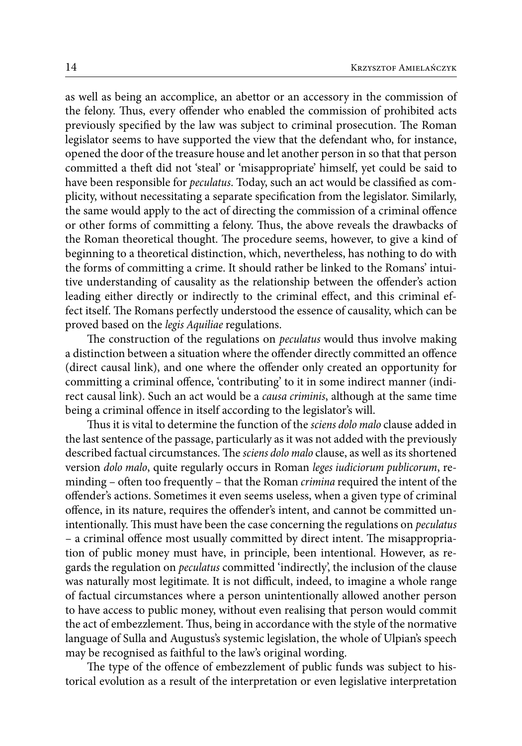as well as being an accomplice, an abettor or an accessory in the commission of the felony. Thus, every offender who enabled the commission of prohibited acts previously specified by the law was subject to criminal prosecution. The Roman legislator seems to have supported the view that the defendant who, for instance, opened the door of the treasure house and let another person in so that that person committed a theft did not 'steal' or 'misappropriate' himself, yet could be said to have been responsible for *peculatus*. Today, such an act would be classified as complicity, without necessitating a separate specification from the legislator. Similarly, the same would apply to the act of directing the commission of a criminal offence or other forms of committing a felony. Thus, the above reveals the drawbacks of the Roman theoretical thought. The procedure seems, however, to give a kind of beginning to a theoretical distinction, which, nevertheless, has nothing to do with the forms of committing a crime. It should rather be linked to the Romans' intuitive understanding of causality as the relationship between the offender's action leading either directly or indirectly to the criminal effect, and this criminal effect itself. The Romans perfectly understood the essence of causality, which can be proved based on the *legis Aquiliae* regulations.

The construction of the regulations on *peculatus* would thus involve making a distinction between a situation where the offender directly committed an offence (direct causal link), and one where the offender only created an opportunity for committing a criminal offence, 'contributing' to it in some indirect manner (indirect causal link). Such an act would be a *causa criminis*, although at the same time being a criminal offence in itself according to the legislator's will.

Thus it is vital to determine the function of the *sciens dolo malo* clause added in the last sentence of the passage, particularly as it was not added with the previously described factual circumstances. The *sciens dolo malo* clause, as well as its shortened version *dolo malo*, quite regularly occurs in Roman *leges iudiciorum publicorum*, reminding – often too frequently – that the Roman *crimina* required the intent of the offender's actions. Sometimes it even seems useless, when a given type of criminal offence, in its nature, requires the offender's intent, and cannot be committed unintentionally. This must have been the case concerning the regulations on *peculatus*  – a criminal offence most usually committed by direct intent. The misappropriation of public money must have, in principle, been intentional. However, as regards the regulation on *peculatus* committed 'indirectly', the inclusion of the clause was naturally most legitimate*.* It is not difficult, indeed, to imagine a whole range of factual circumstances where a person unintentionally allowed another person to have access to public money, without even realising that person would commit the act of embezzlement. Thus, being in accordance with the style of the normative language of Sulla and Augustus's systemic legislation, the whole of Ulpian's speech may be recognised as faithful to the law's original wording.

The type of the offence of embezzlement of public funds was subject to historical evolution as a result of the interpretation or even legislative interpretation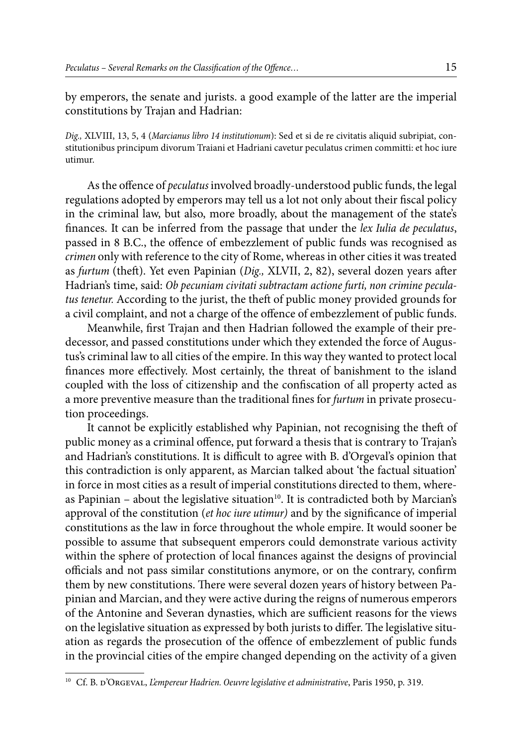by emperors, the senate and jurists. a good example of the latter are the imperial constitutions by Trajan and Hadrian:

*Dig.,* XLVIII, 13, 5, 4 (*Marcianus libro 14 institutionum*): Sed et si de re civitatis aliquid subripiat, constitutionibus principum divorum Traiani et Hadriani cavetur peculatus crimen committi: et hoc iure utimur.

As the offence of *peculatus* involved broadly-understood public funds, the legal regulations adopted by emperors may tell us a lot not only about their fiscal policy in the criminal law, but also, more broadly, about the management of the state's finances. It can be inferred from the passage that under the *lex Iulia de peculatus*, passed in 8 B.C., the offence of embezzlement of public funds was recognised as *crimen* only with reference to the city of Rome, whereas in other cities it was treated as *furtum* (theft). Yet even Papinian (*Dig.,* XLVII, 2, 82), several dozen years after Hadrian's time, said: *Ob pecuniam civitati subtractam actione furti, non crimine peculatus tenetur.* According to the jurist, the theft of public money provided grounds for a civil complaint, and not a charge of the offence of embezzlement of public funds.

Meanwhile, first Trajan and then Hadrian followed the example of their predecessor, and passed constitutions under which they extended the force of Augustus's criminal law to all cities of the empire. In this way they wanted to protect local finances more effectively. Most certainly, the threat of banishment to the island coupled with the loss of citizenship and the confiscation of all property acted as a more preventive measure than the traditional fines for *furtum* in private prosecution proceedings.

It cannot be explicitly established why Papinian, not recognising the theft of public money as a criminal offence, put forward a thesis that is contrary to Trajan's and Hadrian's constitutions. It is difficult to agree with B. d'Orgeval's opinion that this contradiction is only apparent, as Marcian talked about 'the factual situation' in force in most cities as a result of imperial constitutions directed to them, whereas Papinian – about the legislative situation<sup>10</sup>. It is contradicted both by Marcian's approval of the constitution (*et hoc iure utimur)* and by the significance of imperial constitutions as the law in force throughout the whole empire. It would sooner be possible to assume that subsequent emperors could demonstrate various activity within the sphere of protection of local finances against the designs of provincial officials and not pass similar constitutions anymore, or on the contrary, confirm them by new constitutions. There were several dozen years of history between Papinian and Marcian, and they were active during the reigns of numerous emperors of the Antonine and Severan dynasties, which are sufficient reasons for the views on the legislative situation as expressed by both jurists to differ. The legislative situation as regards the prosecution of the offence of embezzlement of public funds in the provincial cities of the empire changed depending on the activity of a given

<sup>&</sup>lt;sup>10</sup> Cf. B. d'Orgeval, *L'empereur Hadrien. Oeuvre legislative et administrative*, Paris 1950, p. 319.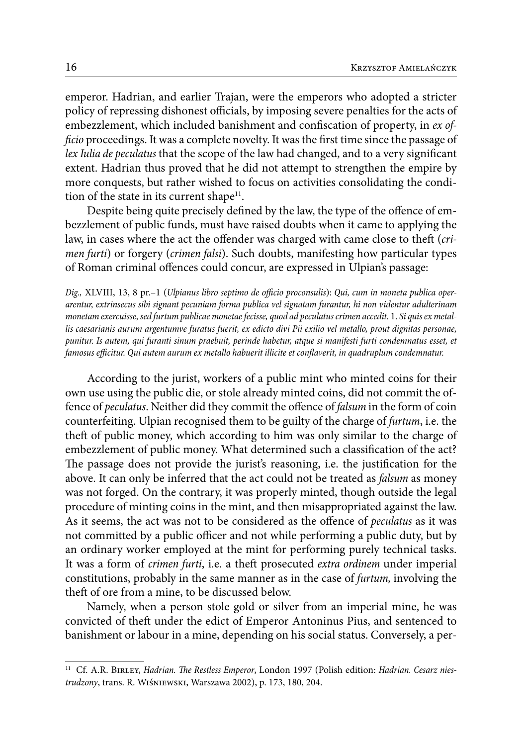emperor. Hadrian, and earlier Trajan, were the emperors who adopted a stricter policy of repressing dishonest officials, by imposing severe penalties for the acts of embezzlement, which included banishment and confiscation of property, in *ex officio* proceedings. It was a complete novelty. It was the first time since the passage of *lex Iulia de peculatus* that the scope of the law had changed, and to a very significant extent. Hadrian thus proved that he did not attempt to strengthen the empire by more conquests, but rather wished to focus on activities consolidating the condition of the state in its current shape $11$ .

Despite being quite precisely defined by the law, the type of the offence of embezzlement of public funds, must have raised doubts when it came to applying the law, in cases where the act the offender was charged with came close to theft (*crimen furti*) or forgery (*crimen falsi*). Such doubts, manifesting how particular types of Roman criminal offences could concur, are expressed in Ulpian's passage:

*Dig.,* XLVIII, 13, 8 pr.–1 (*Ulpianus libro septimo de officio proconsulis*): *Qui, cum in moneta publica operarentur, extrinsecus sibi signant pecuniam forma publica vel signatam furantur, hi non videntur adulterinam monetam exercuisse, sed furtum publicae monetae fecisse, quod ad peculatus crimen accedit.* 1. *Si quis ex metallis caesarianis aurum argentumve furatus fuerit, ex edicto divi Pii exilio vel metallo, prout dignitas personae, punitur. Is autem, qui furanti sinum praebuit, perinde habetur, atque si manifesti furti condemnatus esset, et famosus efficitur. Qui autem aurum ex metallo habuerit illicite et conflaverit, in quadruplum condemnatur.*

According to the jurist, workers of a public mint who minted coins for their own use using the public die, or stole already minted coins, did not commit the offence of *peculatus*. Neither did they commit the offence of *falsum* in the form of coin counterfeiting. Ulpian recognised them to be guilty of the charge of *furtum*, i.e. the theft of public money, which according to him was only similar to the charge of embezzlement of public money. What determined such a classification of the act? The passage does not provide the jurist's reasoning, i.e. the justification for the above. It can only be inferred that the act could not be treated as *falsum* as money was not forged. On the contrary, it was properly minted, though outside the legal procedure of minting coins in the mint, and then misappropriated against the law. As it seems, the act was not to be considered as the offence of *peculatus* as it was not committed by a public officer and not while performing a public duty, but by an ordinary worker employed at the mint for performing purely technical tasks. It was a form of *crimen furti*, i.e. a theft prosecuted *extra ordinem* under imperial constitutions, probably in the same manner as in the case of *furtum,* involving the theft of ore from a mine, to be discussed below.

Namely, when a person stole gold or silver from an imperial mine, he was convicted of theft under the edict of Emperor Antoninus Pius, and sentenced to banishment or labour in a mine, depending on his social status. Conversely, a per-

<sup>11</sup> Cf. A.R. Birley, *Hadrian. The Restless Emperor*, London 1997 (Polish edition: *Hadrian. Cesarz niestrudzony*, trans. R. Wiśniewski, Warszawa 2002), p. 173, 180, 204.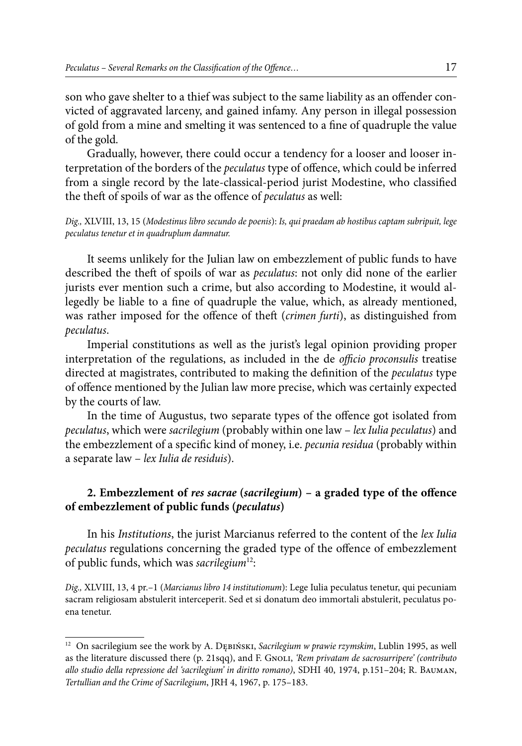son who gave shelter to a thief was subject to the same liability as an offender convicted of aggravated larceny, and gained infamy. Any person in illegal possession of gold from a mine and smelting it was sentenced to a fine of quadruple the value of the gold.

Gradually, however, there could occur a tendency for a looser and looser interpretation of the borders of the *peculatus* type of offence, which could be inferred from a single record by the late-classical-period jurist Modestine, who classified the theft of spoils of war as the offence of *peculatus* as well:

*Dig.,* XLVIII, 13, 15 (*Modestinus libro secundo de poenis*): *Is, qui praedam ab hostibus captam subripuit, lege peculatus tenetur et in quadruplum damnatur.*

It seems unlikely for the Julian law on embezzlement of public funds to have described the theft of spoils of war as *peculatus*: not only did none of the earlier jurists ever mention such a crime, but also according to Modestine, it would allegedly be liable to a fine of quadruple the value, which, as already mentioned, was rather imposed for the offence of theft (*crimen furti*), as distinguished from *peculatus*.

Imperial constitutions as well as the jurist's legal opinion providing proper interpretation of the regulations, as included in the de *officio proconsulis* treatise directed at magistrates, contributed to making the definition of the *peculatus* type of offence mentioned by the Julian law more precise, which was certainly expected by the courts of law.

In the time of Augustus, two separate types of the offence got isolated from *peculatus*, which were *sacrilegium* (probably within one law – *lex Iulia peculatus*) and the embezzlement of a specific kind of money, i.e. *pecunia residua* (probably within a separate law – *lex Iulia de residuis*).

## **2. Embezzlement of** *res sacrae* **(***sacrilegium***) – a graded type of the offence of embezzlement of public funds (***peculatus***)**

In his *Institutions*, the jurist Marcianus referred to the content of the *lex Iulia peculatus* regulations concerning the graded type of the offence of embezzlement of public funds, which was *sacrilegium*12:

*Dig.,* XLVIII, 13, 4 pr.–1 (*Marcianus libro 14 institutionum*): Lege Iulia peculatus tenetur, qui pecuniam sacram religiosam abstulerit interceperit. Sed et si donatum deo immortali abstulerit, peculatus poena tenetur.

<sup>12</sup> On sacrilegium see the work by A. DĘBIŃSKI, Sacrilegium w prawie rzymskim, Lublin 1995, as well as the literature discussed there (p. 21sqq), and F. Gnoli, *'Rem privatam de sacrosurripere' (contributo allo studio della repressione del 'sacrilegium' in diritto romano)*, SDHI 40, 1974, p.151–204; R. Bauman, *Tertullian and the Crime of Sacrilegium*, JRH 4, 1967, p. 175–183.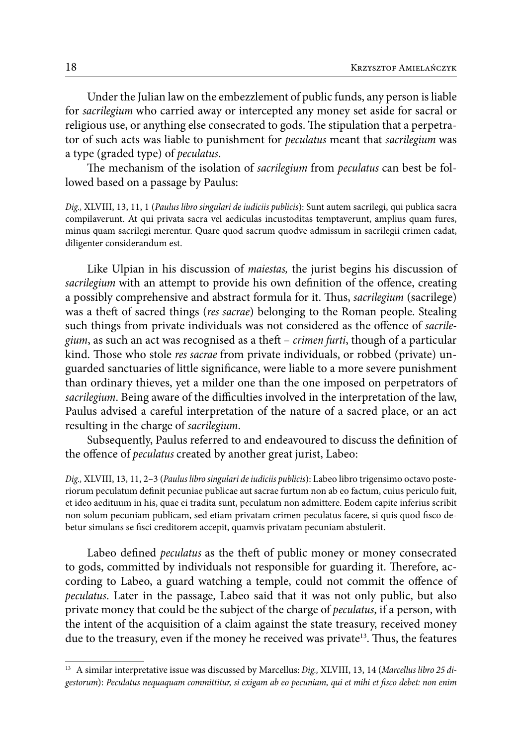Under the Julian law on the embezzlement of public funds, any person is liable for *sacrilegium* who carried away or intercepted any money set aside for sacral or religious use, or anything else consecrated to gods. The stipulation that a perpetrator of such acts was liable to punishment for *peculatus* meant that *sacrilegium* was a type (graded type) of *peculatus*.

The mechanism of the isolation of *sacrilegium* from *peculatus* can best be followed based on a passage by Paulus:

*Dig.,* XLVIII, 13, 11, 1 (*Paulus libro singulari de iudiciis publicis*): Sunt autem sacrilegi, qui publica sacra compilaverunt. At qui privata sacra vel aediculas incustoditas temptaverunt, amplius quam fures, minus quam sacrilegi merentur. Quare quod sacrum quodve admissum in sacrilegii crimen cadat, diligenter considerandum est.

Like Ulpian in his discussion of *maiestas,* the jurist begins his discussion of *sacrilegium* with an attempt to provide his own definition of the offence, creating a possibly comprehensive and abstract formula for it. Thus, *sacrilegium* (sacrilege) was a theft of sacred things (*res sacrae*) belonging to the Roman people. Stealing such things from private individuals was not considered as the offence of *sacrilegium*, as such an act was recognised as a theft – *crimen furti*, though of a particular kind. Those who stole *res sacrae* from private individuals, or robbed (private) unguarded sanctuaries of little significance, were liable to a more severe punishment than ordinary thieves, yet a milder one than the one imposed on perpetrators of *sacrilegium*. Being aware of the difficulties involved in the interpretation of the law, Paulus advised a careful interpretation of the nature of a sacred place, or an act resulting in the charge of *sacrilegium*.

Subsequently, Paulus referred to and endeavoured to discuss the definition of the offence of *peculatus* created by another great jurist, Labeo:

*Dig.,* XLVIII, 13, 11, 2–3 (*Paulus libro singulari de iudiciis publicis*): Labeo libro trigensimo octavo posteriorum peculatum definit pecuniae publicae aut sacrae furtum non ab eo factum, cuius periculo fuit, et ideo aedituum in his, quae ei tradita sunt, peculatum non admittere. Eodem capite inferius scribit non solum pecuniam publicam, sed etiam privatam crimen peculatus facere, si quis quod fisco debetur simulans se fisci creditorem accepit, quamvis privatam pecuniam abstulerit.

Labeo defined *peculatus* as the theft of public money or money consecrated to gods, committed by individuals not responsible for guarding it. Therefore, according to Labeo, a guard watching a temple, could not commit the offence of *peculatus*. Later in the passage, Labeo said that it was not only public, but also private money that could be the subject of the charge of *peculatus*, if a person, with the intent of the acquisition of a claim against the state treasury, received money due to the treasury, even if the money he received was private<sup>13</sup>. Thus, the features

<sup>13</sup> A similar interpretative issue was discussed by Marcellus: *Dig.,* XLVIII, 13, 14 (*Marcellus libro 25 digestorum*): *Peculatus nequaquam committitur, si exigam ab eo pecuniam, qui et mihi et fisco debet: non enim*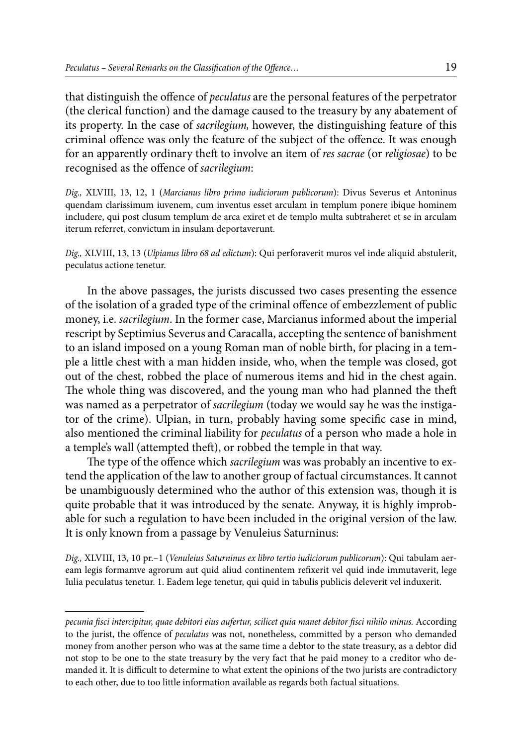that distinguish the offence of *peculatus* are the personal features of the perpetrator (the clerical function) and the damage caused to the treasury by any abatement of its property. In the case of *sacrilegium,* however, the distinguishing feature of this criminal offence was only the feature of the subject of the offence. It was enough for an apparently ordinary theft to involve an item of *res sacrae* (or *religiosae*) to be recognised as the offence of *sacrilegium*:

*Dig.,* XLVIII, 13, 12, 1 (*Marcianus libro primo iudiciorum publicorum*): Divus Severus et Antoninus quendam clarissimum iuvenem, cum inventus esset arculam in templum ponere ibique hominem includere, qui post clusum templum de arca exiret et de templo multa subtraheret et se in arculam iterum referret, convictum in insulam deportaverunt.

*Dig.,* XLVIII, 13, 13 (*Ulpianus libro 68 ad edictum*): Qui perforaverit muros vel inde aliquid abstulerit, peculatus actione tenetur.

In the above passages, the jurists discussed two cases presenting the essence of the isolation of a graded type of the criminal offence of embezzlement of public money, i.e. *sacrilegium*. In the former case, Marcianus informed about the imperial rescript by Septimius Severus and Caracalla, accepting the sentence of banishment to an island imposed on a young Roman man of noble birth, for placing in a temple a little chest with a man hidden inside, who, when the temple was closed, got out of the chest, robbed the place of numerous items and hid in the chest again. The whole thing was discovered, and the young man who had planned the theft was named as a perpetrator of *sacrilegium* (today we would say he was the instigator of the crime). Ulpian, in turn, probably having some specific case in mind, also mentioned the criminal liability for *peculatus* of a person who made a hole in a temple's wall (attempted theft), or robbed the temple in that way.

The type of the offence which *sacrilegium* was was probably an incentive to extend the application of the law to another group of factual circumstances. It cannot be unambiguously determined who the author of this extension was, though it is quite probable that it was introduced by the senate. Anyway, it is highly improbable for such a regulation to have been included in the original version of the law. It is only known from a passage by Venuleius Saturninus:

*Dig.,* XLVIII, 13, 10 pr.–1 (*Venuleius Saturninus ex libro tertio iudiciorum publicorum*): Qui tabulam aeream legis formamve agrorum aut quid aliud continentem refixerit vel quid inde immutaverit, lege Iulia peculatus tenetur. 1. Eadem lege tenetur, qui quid in tabulis publicis deleverit vel induxerit.

*pecunia fisci intercipitur, quae debitori eius aufertur, scilicet quia manet debitor fisci nihilo minus.* According to the jurist, the offence of *peculatus* was not, nonetheless, committed by a person who demanded money from another person who was at the same time a debtor to the state treasury, as a debtor did not stop to be one to the state treasury by the very fact that he paid money to a creditor who demanded it. It is difficult to determine to what extent the opinions of the two jurists are contradictory to each other, due to too little information available as regards both factual situations.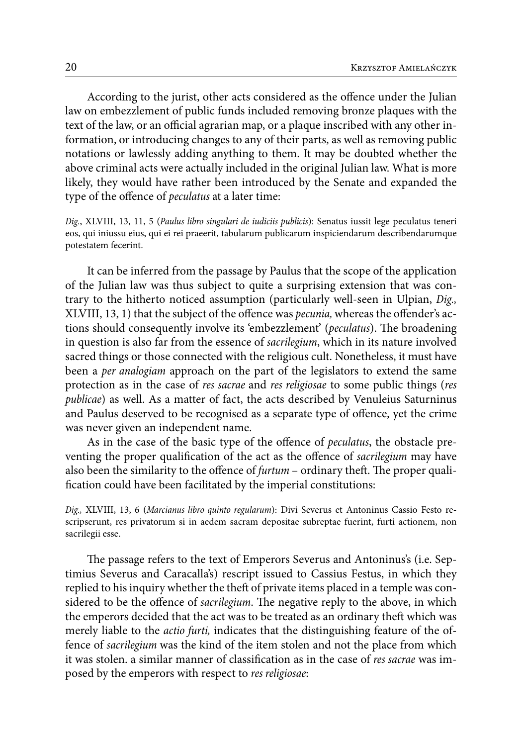According to the jurist, other acts considered as the offence under the Julian law on embezzlement of public funds included removing bronze plaques with the text of the law, or an official agrarian map, or a plaque inscribed with any other information, or introducing changes to any of their parts, as well as removing public notations or lawlessly adding anything to them. It may be doubted whether the above criminal acts were actually included in the original Julian law. What is more likely, they would have rather been introduced by the Senate and expanded the type of the offence of *peculatus* at a later time:

*Dig.*, XLVIII, 13, 11, 5 (*Paulus libro singulari de iudiciis publicis*): Senatus iussit lege peculatus teneri eos, qui iniussu eius, qui ei rei praeerit, tabularum publicarum inspiciendarum describendarumque potestatem fecerint.

It can be inferred from the passage by Paulus that the scope of the application of the Julian law was thus subject to quite a surprising extension that was contrary to the hitherto noticed assumption (particularly well-seen in Ulpian, *Dig.,* XLVIII, 13, 1) that the subject of the offence was *pecunia,* whereas the offender's actions should consequently involve its 'embezzlement' (*peculatus*). The broadening in question is also far from the essence of *sacrilegium*, which in its nature involved sacred things or those connected with the religious cult. Nonetheless, it must have been a *per analogiam* approach on the part of the legislators to extend the same protection as in the case of *res sacrae* and *res religiosae* to some public things (*res publicae*) as well. As a matter of fact, the acts described by Venuleius Saturninus and Paulus deserved to be recognised as a separate type of offence, yet the crime was never given an independent name.

As in the case of the basic type of the offence of *peculatus*, the obstacle preventing the proper qualification of the act as the offence of *sacrilegium* may have also been the similarity to the offence of *furtum* – ordinary theft. The proper qualification could have been facilitated by the imperial constitutions:

*Dig.,* XLVIII, 13, 6 (*Marcianus libro quinto regularum*): Divi Severus et Antoninus Cassio Festo rescripserunt, res privatorum si in aedem sacram depositae subreptae fuerint, furti actionem, non sacrilegii esse.

The passage refers to the text of Emperors Severus and Antoninus's (i.e. Septimius Severus and Caracalla's) rescript issued to Cassius Festus, in which they replied to his inquiry whether the theft of private items placed in a temple was considered to be the offence of *sacrilegium*. The negative reply to the above, in which the emperors decided that the act was to be treated as an ordinary theft which was merely liable to the *actio furti,* indicates that the distinguishing feature of the offence of *sacrilegium* was the kind of the item stolen and not the place from which it was stolen. a similar manner of classification as in the case of *res sacrae* was imposed by the emperors with respect to *res religiosae*: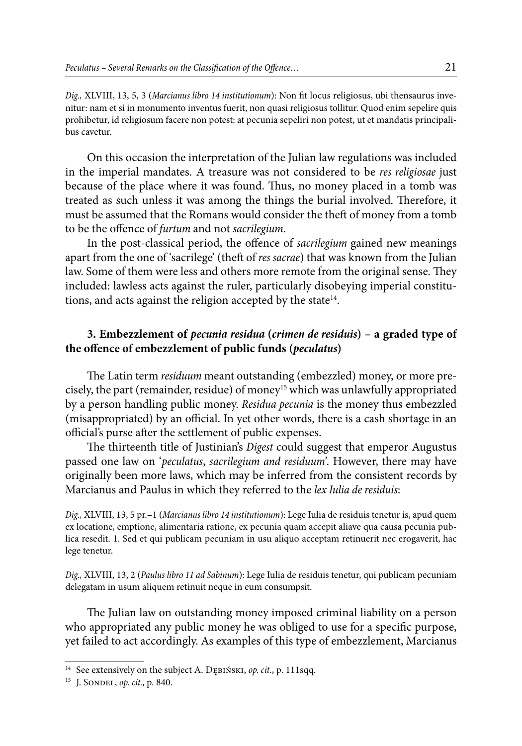*Dig.,* XLVIII, 13, 5, 3 (*Marcianus libro 14 institutionum*): Non fit locus religiosus, ubi thensaurus invenitur: nam et si in monumento inventus fuerit, non quasi religiosus tollitur. Quod enim sepelire quis prohibetur, id religiosum facere non potest: at pecunia sepeliri non potest, ut et mandatis principalibus cavetur.

On this occasion the interpretation of the Julian law regulations was included in the imperial mandates. A treasure was not considered to be *res religiosae* just because of the place where it was found. Thus, no money placed in a tomb was treated as such unless it was among the things the burial involved. Therefore, it must be assumed that the Romans would consider the theft of money from a tomb to be the offence of *furtum* and not *sacrilegium*.

In the post-classical period, the offence of *sacrilegium* gained new meanings apart from the one of 'sacrilege' (theft of *res sacrae*) that was known from the Julian law. Some of them were less and others more remote from the original sense. They included: lawless acts against the ruler, particularly disobeying imperial constitutions, and acts against the religion accepted by the state $14$ .

#### **3. Embezzlement of** *pecunia residua* **(***crimen de residuis***) – a graded type of the offence of embezzlement of public funds (***peculatus***)**

The Latin term *residuum* meant outstanding (embezzled) money, or more precisely, the part (remainder, residue) of money<sup>15</sup> which was unlawfully appropriated by a person handling public money. *Residua pecunia* is the money thus embezzled (misappropriated) by an official. In yet other words, there is a cash shortage in an official's purse after the settlement of public expenses.

The thirteenth title of Justinian's *Digest* could suggest that emperor Augustus passed one law on '*peculatus*, *sacrilegium and residuum'*. However, there may have originally been more laws, which may be inferred from the consistent records by Marcianus and Paulus in which they referred to the *lex Iulia de residuis*:

*Dig.,* XLVIII, 13, 5 pr.–1 (*Marcianus libro 14 institutionum*): Lege Iulia de residuis tenetur is, apud quem ex locatione, emptione, alimentaria ratione, ex pecunia quam accepit aliave qua causa pecunia publica resedit. 1. Sed et qui publicam pecuniam in usu aliquo acceptam retinuerit nec erogaverit, hac lege tenetur.

*Dig.,* XLVIII, 13, 2 (*Paulus libro 11 ad Sabinum*): Lege Iulia de residuis tenetur, qui publicam pecuniam delegatam in usum aliquem retinuit neque in eum consumpsit.

The Julian law on outstanding money imposed criminal liability on a person who appropriated any public money he was obliged to use for a specific purpose, yet failed to act accordingly. As examples of this type of embezzlement, Marcianus

<sup>14</sup> See extensively on the subject A. Dębiński, *op. cit*., p. 111sqq.

<sup>15</sup> J. Sondel, *op. cit.,* p. 840.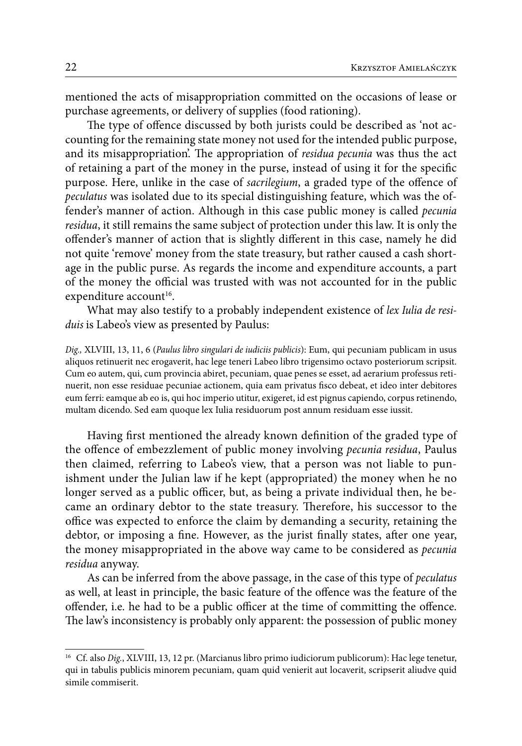mentioned the acts of misappropriation committed on the occasions of lease or purchase agreements, or delivery of supplies (food rationing).

The type of offence discussed by both jurists could be described as 'not accounting for the remaining state money not used for the intended public purpose, and its misappropriation'. The appropriation of *residua pecunia* was thus the act of retaining a part of the money in the purse, instead of using it for the specific purpose. Here, unlike in the case of *sacrilegium*, a graded type of the offence of *peculatus* was isolated due to its special distinguishing feature, which was the offender's manner of action. Although in this case public money is called *pecunia residua*, it still remains the same subject of protection under this law. It is only the offender's manner of action that is slightly different in this case, namely he did not quite 'remove' money from the state treasury, but rather caused a cash shortage in the public purse. As regards the income and expenditure accounts, a part of the money the official was trusted with was not accounted for in the public expenditure account<sup>16</sup>.

What may also testify to a probably independent existence of *lex Iulia de residuis* is Labeo's view as presented by Paulus:

*Dig.,* XLVIII, 13, 11, 6 (*Paulus libro singulari de iudiciis publicis*): Eum, qui pecuniam publicam in usus aliquos retinuerit nec erogaverit, hac lege teneri Labeo libro trigensimo octavo posteriorum scripsit. Cum eo autem, qui, cum provincia abiret, pecuniam, quae penes se esset, ad aerarium professus retinuerit, non esse residuae pecuniae actionem, quia eam privatus fisco debeat, et ideo inter debitores eum ferri: eamque ab eo is, qui hoc imperio utitur, exigeret, id est pignus capiendo, corpus retinendo, multam dicendo. Sed eam quoque lex Iulia residuorum post annum residuam esse iussit.

Having first mentioned the already known definition of the graded type of the offence of embezzlement of public money involving *pecunia residua*, Paulus then claimed, referring to Labeo's view, that a person was not liable to punishment under the Julian law if he kept (appropriated) the money when he no longer served as a public officer, but, as being a private individual then, he became an ordinary debtor to the state treasury. Therefore, his successor to the office was expected to enforce the claim by demanding a security, retaining the debtor, or imposing a fine. However, as the jurist finally states, after one year, the money misappropriated in the above way came to be considered as *pecunia residua* anyway.

As can be inferred from the above passage, in the case of this type of *peculatus*  as well, at least in principle, the basic feature of the offence was the feature of the offender, i.e. he had to be a public officer at the time of committing the offence. The law's inconsistency is probably only apparent: the possession of public money

<sup>&</sup>lt;sup>16</sup> Cf. also *Dig.*, XLVIII, 13, 12 pr. (Marcianus libro primo iudiciorum publicorum): Hac lege tenetur, qui in tabulis publicis minorem pecuniam, quam quid venierit aut locaverit, scripserit aliudve quid simile commiserit.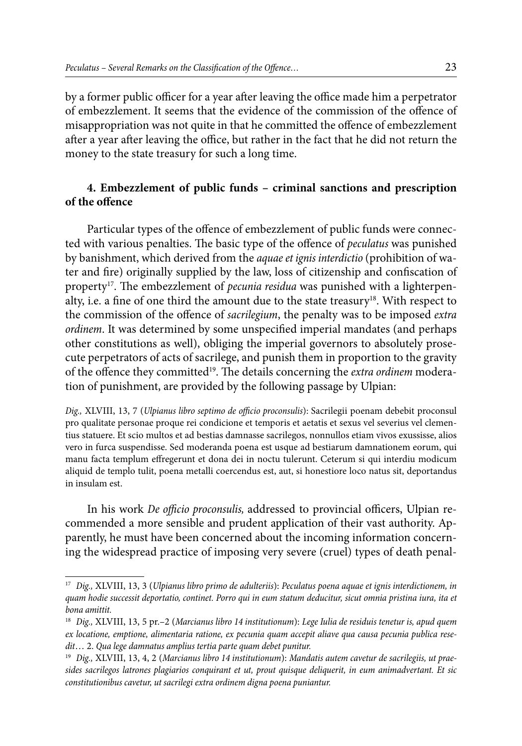by a former public officer for a year after leaving the office made him a perpetrator of embezzlement. It seems that the evidence of the commission of the offence of misappropriation was not quite in that he committed the offence of embezzlement after a year after leaving the office, but rather in the fact that he did not return the money to the state treasury for such a long time.

## **4. Embezzlement of public funds – criminal sanctions and prescription of the offence**

Particular types of the offence of embezzlement of public funds were connected with various penalties. The basic type of the offence of *peculatus* was punished by banishment, which derived from the *aquae et ignis interdictio* (prohibition of water and fire) originally supplied by the law, loss of citizenship and confiscation of property<sup>17</sup>. The embezzlement of *pecunia residua* was punished with a lighterpenalty, i.e. a fine of one third the amount due to the state treasury<sup>18</sup>. With respect to the commission of the offence of *sacrilegium*, the penalty was to be imposed *extra ordinem*. It was determined by some unspecified imperial mandates (and perhaps other constitutions as well), obliging the imperial governors to absolutely prosecute perpetrators of acts of sacrilege, and punish them in proportion to the gravity of the offence they committed19. The details concerning the *extra ordinem* moderation of punishment, are provided by the following passage by Ulpian:

*Dig.,* XLVIII, 13, 7 (*Ulpianus libro septimo de officio proconsulis*): Sacrilegii poenam debebit proconsul pro qualitate personae proque rei condicione et temporis et aetatis et sexus vel severius vel clementius statuere. Et scio multos et ad bestias damnasse sacrilegos, nonnullos etiam vivos exussisse, alios vero in furca suspendisse. Sed moderanda poena est usque ad bestiarum damnationem eorum, qui manu facta templum effregerunt et dona dei in noctu tulerunt. Ceterum si qui interdiu modicum aliquid de templo tulit, poena metalli coercendus est, aut, si honestiore loco natus sit, deportandus in insulam est.

In his work *De officio proconsulis,* addressed to provincial officers, Ulpian recommended a more sensible and prudent application of their vast authority. Apparently, he must have been concerned about the incoming information concerning the widespread practice of imposing very severe (cruel) types of death penal-

<sup>17</sup> *Dig.,* XLVIII, 13, 3 (*Ulpianus libro primo de adulteriis*): *Peculatus poena aquae et ignis interdictionem, in quam hodie successit deportatio, continet. Porro qui in eum statum deducitur, sicut omnia pristina iura, ita et bona amittit.*

<sup>18</sup> *Dig.,* XLVIII, 13, 5 pr.–2 (*Marcianus libro 14 institutionum*): *Lege Iulia de residuis tenetur is, apud quem ex locatione, emptione, alimentaria ratione, ex pecunia quam accepit aliave qua causa pecunia publica resedit*… 2. *Qua lege damnatus amplius tertia parte quam debet punitur.*

<sup>19</sup> *Dig.,* XLVIII, 13, 4, 2 (*Marcianus libro 14 institutionum*): *Mandatis autem cavetur de sacrilegiis, ut praesides sacrilegos latrones plagiarios conquirant et ut, prout quisque deliquerit, in eum animadvertant. Et sic constitutionibus cavetur, ut sacrilegi extra ordinem digna poena puniantur.*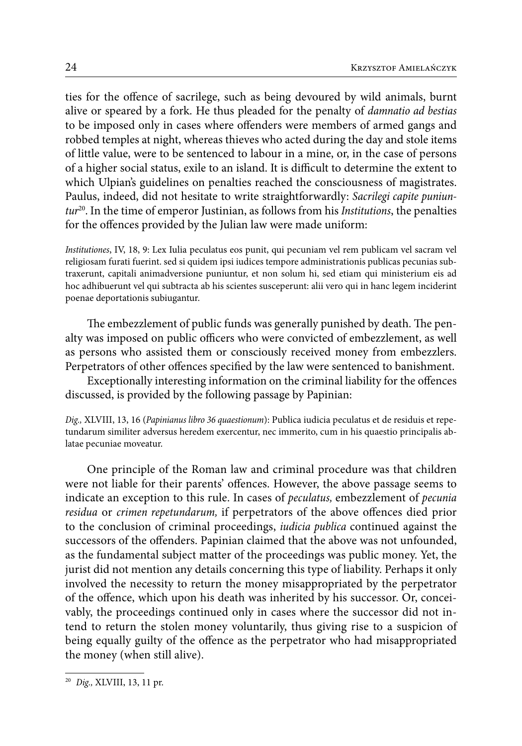ties for the offence of sacrilege, such as being devoured by wild animals, burnt alive or speared by a fork. He thus pleaded for the penalty of *damnatio ad bestias*  to be imposed only in cases where offenders were members of armed gangs and robbed temples at night, whereas thieves who acted during the day and stole items of little value, were to be sentenced to labour in a mine, or, in the case of persons of a higher social status, exile to an island. It is difficult to determine the extent to which Ulpian's guidelines on penalties reached the consciousness of magistrates. Paulus, indeed, did not hesitate to write straightforwardly: *Sacrilegi capite puniuntur*20. In the time of emperor Justinian, as follows from his *Institutions*, the penalties for the offences provided by the Julian law were made uniform:

*Institutiones*, IV, 18, 9: Lex Iulia peculatus eos punit, qui pecuniam vel rem publicam vel sacram vel religiosam furati fuerint. sed si quidem ipsi iudices tempore administrationis publicas pecunias subtraxerunt, capitali animadversione puniuntur, et non solum hi, sed etiam qui ministerium eis ad hoc adhibuerunt vel qui subtracta ab his scientes susceperunt: alii vero qui in hanc legem inciderint poenae deportationis subiugantur.

The embezzlement of public funds was generally punished by death. The penalty was imposed on public officers who were convicted of embezzlement, as well as persons who assisted them or consciously received money from embezzlers. Perpetrators of other offences specified by the law were sentenced to banishment.

Exceptionally interesting information on the criminal liability for the offences discussed, is provided by the following passage by Papinian:

*Dig.,* XLVIII, 13, 16 (*Papinianus libro 36 quaestionum*): Publica iudicia peculatus et de residuis et repetundarum similiter adversus heredem exercentur, nec immerito, cum in his quaestio principalis ablatae pecuniae moveatur.

One principle of the Roman law and criminal procedure was that children were not liable for their parents' offences. However, the above passage seems to indicate an exception to this rule. In cases of *peculatus,* embezzlement of *pecunia residua* or *crimen repetundarum,* if perpetrators of the above offences died prior to the conclusion of criminal proceedings, *iudicia publica* continued against the successors of the offenders. Papinian claimed that the above was not unfounded, as the fundamental subject matter of the proceedings was public money. Yet, the jurist did not mention any details concerning this type of liability. Perhaps it only involved the necessity to return the money misappropriated by the perpetrator of the offence, which upon his death was inherited by his successor. Or, conceivably, the proceedings continued only in cases where the successor did not intend to return the stolen money voluntarily, thus giving rise to a suspicion of being equally guilty of the offence as the perpetrator who had misappropriated the money (when still alive).

<sup>20</sup> *Dig.,* XLVIII, 13, 11 pr.